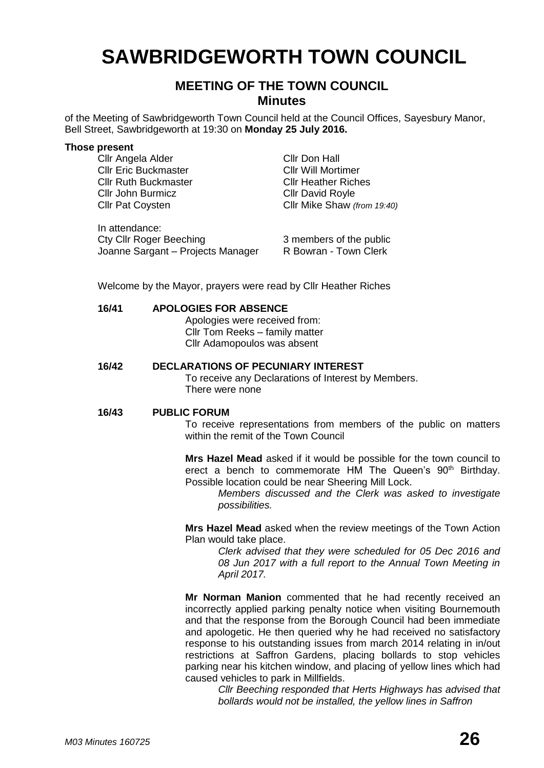# **SAWBRIDGEWORTH TOWN COUNCIL**

## **MEETING OF THE TOWN COUNCIL Minutes**

of the Meeting of Sawbridgeworth Town Council held at the Council Offices, Sayesbury Manor, Bell Street, Sawbridgeworth at 19:30 on **Monday 25 July 2016.**

#### **Those present**

Cllr Angela Alder Cllr Don Hall Cllr Eric Buckmaster Cllr Will Mortimer Cllr Ruth Buckmaster Cllr Heather Riches Cllr John Burmicz Cllr David Royle

In attendance: Cty Cllr Roger Beeching 3 members of the public Joanne Sargant – Projects Manager R Bowran - Town Clerk

Cllr Pat Coysten Cllr Mike Shaw *(from 19:40)*

Welcome by the Mayor, prayers were read by Cllr Heather Riches

#### **16/41 APOLOGIES FOR ABSENCE**

Apologies were received from: Cllr Tom Reeks – family matter Cllr Adamopoulos was absent

#### **16/42 DECLARATIONS OF PECUNIARY INTEREST**

To receive any Declarations of Interest by Members. There were none

#### **16/43 PUBLIC FORUM**

To receive representations from members of the public on matters within the remit of the Town Council

**Mrs Hazel Mead** asked if it would be possible for the town council to erect a bench to commemorate HM The Queen's 90<sup>th</sup> Birthday. Possible location could be near Sheering Mill Lock.

*Members discussed and the Clerk was asked to investigate possibilities.*

**Mrs Hazel Mead** asked when the review meetings of the Town Action Plan would take place.

> *Clerk advised that they were scheduled for 05 Dec 2016 and 08 Jun 2017 with a full report to the Annual Town Meeting in April 2017.*

**Mr Norman Manion** commented that he had recently received an incorrectly applied parking penalty notice when visiting Bournemouth and that the response from the Borough Council had been immediate and apologetic. He then queried why he had received no satisfactory response to his outstanding issues from march 2014 relating in in/out restrictions at Saffron Gardens, placing bollards to stop vehicles parking near his kitchen window, and placing of yellow lines which had caused vehicles to park in Millfields.

> *Cllr Beeching responded that Herts Highways has advised that bollards would not be installed, the yellow lines in Saffron*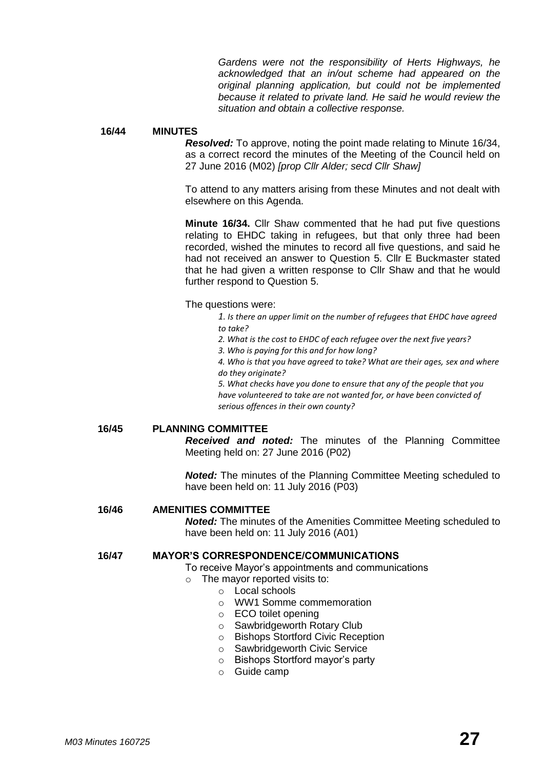*Gardens were not the responsibility of Herts Highways, he acknowledged that an in/out scheme had appeared on the original planning application, but could not be implemented because it related to private land. He said he would review the situation and obtain a collective response.*

#### **16/44 MINUTES**

*Resolved:* To approve, noting the point made relating to Minute 16/34, as a correct record the minutes of the Meeting of the Council held on 27 June 2016 (M02) *[prop Cllr Alder; secd Cllr Shaw]*

To attend to any matters arising from these Minutes and not dealt with elsewhere on this Agenda.

**Minute 16/34.** Cllr Shaw commented that he had put five questions relating to EHDC taking in refugees, but that only three had been recorded, wished the minutes to record all five questions, and said he had not received an answer to Question 5. Cllr E Buckmaster stated that he had given a written response to Cllr Shaw and that he would further respond to Question 5.

#### The questions were:

*1. Is there an upper limit on the number of refugees that EHDC have agreed to take?*

- *2. What is the cost to EHDC of each refugee over the next five years?*
- *3. Who is paying for this and for how long?*

*4. Who is that you have agreed to take? What are their ages, sex and where do they originate?*

*5. What checks have you done to ensure that any of the people that you have volunteered to take are not wanted for, or have been convicted of serious offences in their own county?*

#### **16/45 PLANNING COMMITTEE**

*Received and noted:* The minutes of the Planning Committee Meeting held on: 27 June 2016 (P02)

*Noted:* The minutes of the Planning Committee Meeting scheduled to have been held on: 11 July 2016 (P03)

#### **16/46 AMENITIES COMMITTEE**

*Noted:* The minutes of the Amenities Committee Meeting scheduled to have been held on: 11 July 2016 (A01)

#### **16/47 MAYOR'S CORRESPONDENCE/COMMUNICATIONS**

To receive Mayor's appointments and communications

- o The mayor reported visits to:
	- o Local schools
	- o WW1 Somme commemoration
	- o ECO toilet opening
	- o Sawbridgeworth Rotary Club
	- o Bishops Stortford Civic Reception
	- o Sawbridgeworth Civic Service
	- o Bishops Stortford mayor's party
	- o Guide camp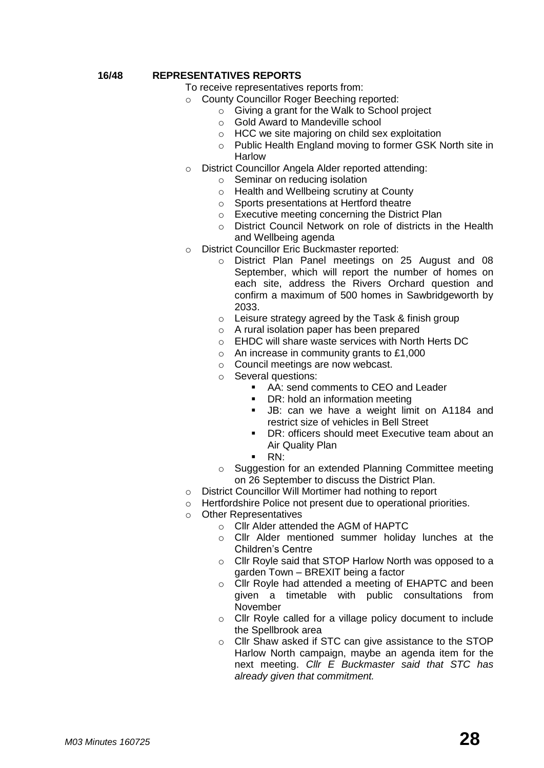#### **16/48 REPRESENTATIVES REPORTS**

To receive representatives reports from:

- County Councillor Roger Beeching reported:
	- o Giving a grant for the Walk to School project
	- o Gold Award to Mandeville school
	- o HCC we site majoring on child sex exploitation
	- o Public Health England moving to former GSK North site in Harlow
- o District Councillor Angela Alder reported attending:
	- o Seminar on reducing isolation
	- o Health and Wellbeing scrutiny at County
	- o Sports presentations at Hertford theatre
	- o Executive meeting concerning the District Plan
	- o District Council Network on role of districts in the Health and Wellbeing agenda
- o District Councillor Eric Buckmaster reported:
	- o District Plan Panel meetings on 25 August and 08 September, which will report the number of homes on each site, address the Rivers Orchard question and confirm a maximum of 500 homes in Sawbridgeworth by 2033.
	- o Leisure strategy agreed by the Task & finish group
	- o A rural isolation paper has been prepared
	- o EHDC will share waste services with North Herts DC
	- o An increase in community grants to £1,000
	- o Council meetings are now webcast.
	- o Several questions:
		- AA: send comments to CEO and Leader
		- DR: hold an information meeting
		- **JB:** can we have a weight limit on A1184 and restrict size of vehicles in Bell Street
		- DR: officers should meet Executive team about an Air Quality Plan
		- RN:
	- o Suggestion for an extended Planning Committee meeting on 26 September to discuss the District Plan.
- o District Councillor Will Mortimer had nothing to report
- o Hertfordshire Police not present due to operational priorities.
- o Other Representatives
	- o Cllr Alder attended the AGM of HAPTC
	- o Cllr Alder mentioned summer holiday lunches at the Children's Centre
	- o Cllr Royle said that STOP Harlow North was opposed to a garden Town – BREXIT being a factor
	- o Cllr Royle had attended a meeting of EHAPTC and been given a timetable with public consultations from November
	- o Cllr Royle called for a village policy document to include the Spellbrook area
	- o Cllr Shaw asked if STC can give assistance to the STOP Harlow North campaign, maybe an agenda item for the next meeting. *Cllr E Buckmaster said that STC has already given that commitment.*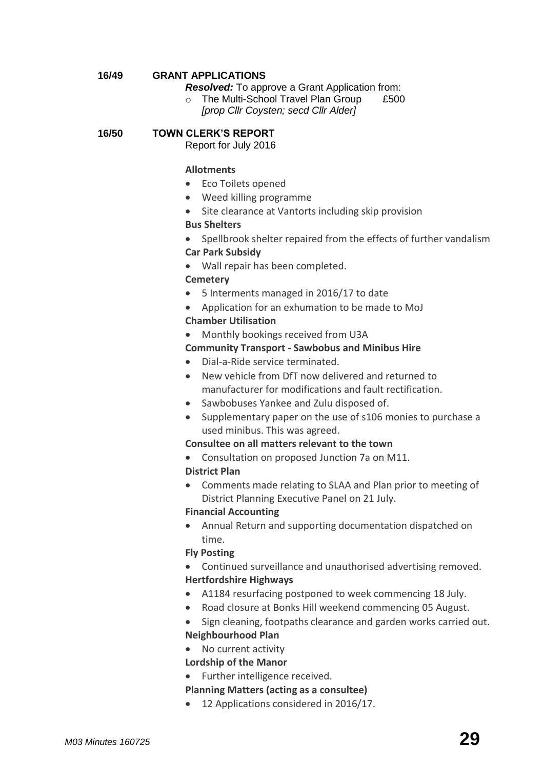## **16/49 GRANT APPLICATIONS**

*Resolved:* To approve a Grant Application from:

o The Multi-School Travel Plan Group £500 *[prop Cllr Coysten; secd Cllr Alder]*

#### **16/50 TOWN CLERK'S REPORT**

Report for July 2016

#### **[Allotments](http://www.sawbridgeworth-tc.gov.uk/town-information/town-council-services/allotments)**

- Eco Toilets opened
- Weed killing programme
- Site clearance at Vantorts including skip provision

## **Bus Shelters**

• Spellbrook shelter repaired from the effects of further vandalism

#### **Car Park Subsidy**

Wall repair has been completed.

## **[Cemetery](http://www.sawbridgeworth-tc.gov.uk/town-information/town-council-services/cemetery)**

- 5 Interments managed in 2016/17 to date
- Application for an exhumation to be made to MoJ

#### **Chamber Utilisation**

Monthly bookings received from U3A

#### **Community Transport - [Sawbobus](http://www.sawbridgeworth-tc.gov.uk/town-information/town-council-services/sawbobus) and [Minibus Hire](http://www.sawbridgeworth-tc.gov.uk/town-information/town-council-services/minibus-hire)**

- Dial-a-Ride service terminated.
- New vehicle from DfT now delivered and returned to manufacturer for modifications and fault rectification.
- Sawbobuses Yankee and Zulu disposed of.
- Supplementary paper on the use of s106 monies to purchase a used minibus. This was agreed.

## **Consultee on all matters relevant to the town**

- Consultation on proposed Junction 7a on M11. **District Plan**
- Comments made relating to SLAA and Plan prior to meeting of District Planning Executive Panel on 21 July.

#### **Financial Accounting**

 Annual Return and supporting documentation dispatched on time.

## **Fly Posting**

- Continued surveillance and unauthorised advertising removed. **Hertfordshire Highways**
- A1184 resurfacing postponed to week commencing 18 July.
- Road closure at Bonks Hill weekend commencing 05 August.
- Sign cleaning, footpaths clearance and garden works carried out. **Neighbourhood Plan**
- No current activity

## **Lordship of the Manor**

• Further intelligence received.

## **[Planning Matters \(acting as a consultee\)](http://www.sawbridgeworth-tc.gov.uk/town-council/planning)**

12 Applications considered in 2016/17.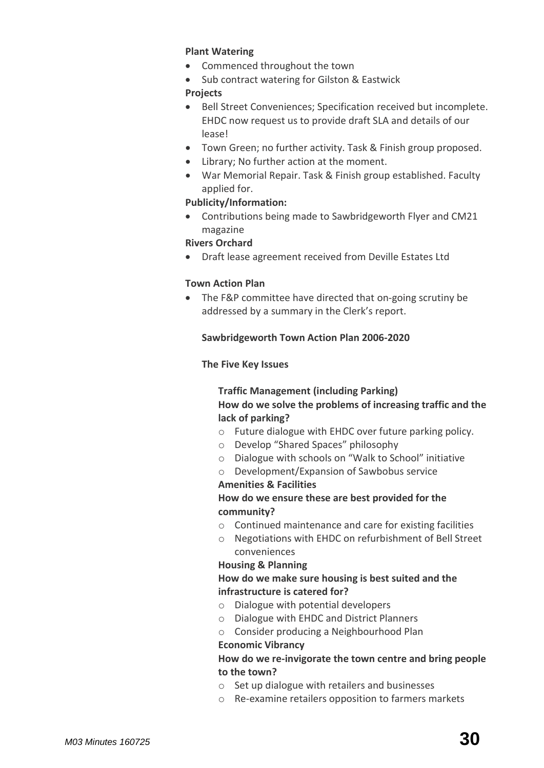## **Plant Watering**

- Commenced throughout the town
- Sub contract watering for Gilston & Eastwick

## **Projects**

- Bell Street Conveniences; Specification received but incomplete. EHDC now request us to provide draft SLA and details of our lease!
- Town Green; no further activity. Task & Finish group proposed.
- Library; No further action at the moment.
- War Memorial Repair. Task & Finish group established. Faculty applied for.

## **Publicity/Information:**

 Contributions being made to Sawbridgeworth Flyer and CM21 magazine

## **Rivers Orchard**

Draft lease agreement received from Deville Estates Ltd

## **Town Action Plan**

 The F&P committee have directed that on-going scrutiny be addressed by a summary in the Clerk's report.

## **Sawbridgeworth Town Action Plan 2006-2020**

## **The Five Key Issues**

## **Traffic Management (including Parking) How do we solve the problems of increasing traffic and the lack of parking?**

- o Future dialogue with EHDC over future parking policy.
- o Develop "Shared Spaces" philosophy
- o Dialogue with schools on "Walk to School" initiative
- o Development/Expansion of Sawbobus service

## **Amenities & Facilities**

## **How do we ensure these are best provided for the community?**

- o Continued maintenance and care for existing facilities
- o Negotiations with EHDC on refurbishment of Bell Street conveniences

## **Housing & Planning**

## **How do we make sure housing is best suited and the infrastructure is catered for?**

- o Dialogue with potential developers
- o Dialogue with EHDC and District Planners
- o Consider producing a Neighbourhood Plan

## **Economic Vibrancy**

## **How do we re-invigorate the town centre and bring people to the town?**

- o Set up dialogue with retailers and businesses
- o Re-examine retailers opposition to farmers markets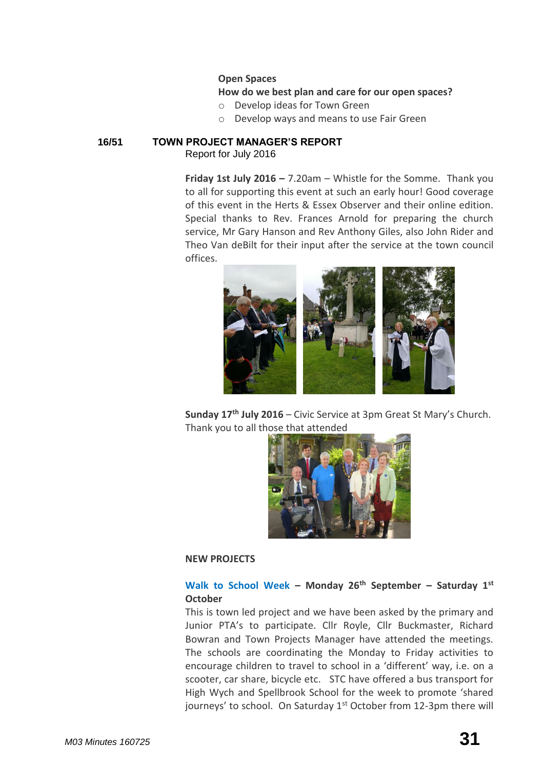## **Open Spaces**

## **How do we best plan and care for our open spaces?**

- o Develop ideas for Town Green
- o Develop ways and means to use Fair Green

## **16/51 TOWN PROJECT MANAGER'S REPORT** Report for July 2016

**Friday 1st July 2016 –** 7.20am – Whistle for the Somme. Thank you to all for supporting this event at such an early hour! Good coverage of this event in the Herts & Essex Observer and their online edition. Special thanks to Rev. Frances Arnold for preparing the church service, Mr Gary Hanson and Rev Anthony Giles, also John Rider and Theo Van deBilt for their input after the service at the town council offices.



**Sunday 17th July 2016** – Civic Service at 3pm Great St Mary's Church. Thank you to all those that attended



## **NEW PROJECTS**

## **Walk to School Week – Monday 26th September – Saturday 1st October**

This is town led project and we have been asked by the primary and Junior PTA's to participate. Cllr Royle, Cllr Buckmaster, Richard Bowran and Town Projects Manager have attended the meetings. The schools are coordinating the Monday to Friday activities to encourage children to travel to school in a 'different' way, i.e. on a scooter, car share, bicycle etc. STC have offered a bus transport for High Wych and Spellbrook School for the week to promote 'shared journeys' to school. On Saturday  $1<sup>st</sup>$  October from 12-3pm there will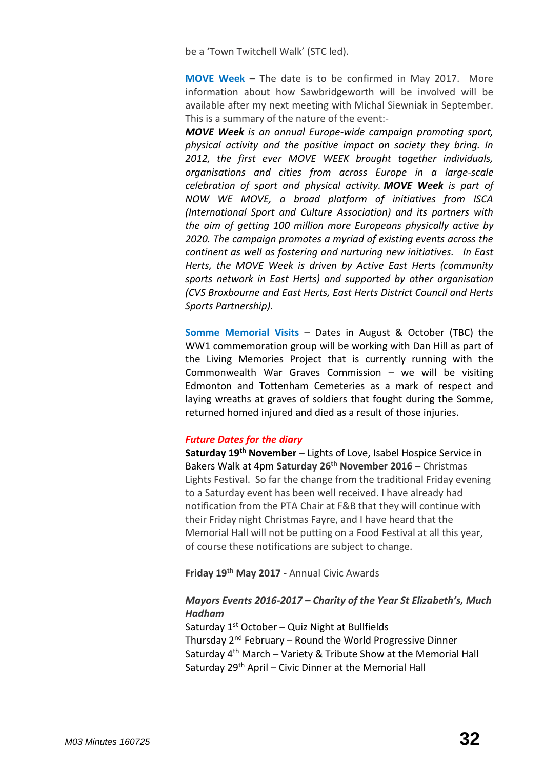be a 'Town Twitchell Walk' (STC led).

**MOVE Week –** The date is to be confirmed in May 2017. More information about how Sawbridgeworth will be involved will be available after my next meeting with Michal Siewniak in September. This is a summary of the nature of the event:-

*MOVE Week is an annual Europe-wide campaign promoting sport, physical activity and the positive impact on society they bring. In 2012, the first ever MOVE WEEK brought together individuals, organisations and cities from across Europe in a large-scale celebration of sport and physical activity. MOVE Week is part of NOW WE MOVE, a broad platform of initiatives from ISCA (International Sport and Culture Association) and its partners with the aim of getting 100 million more Europeans physically active by 2020. The campaign promotes a myriad of existing events across the continent as well as fostering and nurturing new initiatives. In East Herts, the MOVE Week is driven by Active East Herts (community sports network in East Herts) and supported by other organisation (CVS Broxbourne and East Herts, East Herts District Council and Herts Sports Partnership).*

**Somme Memorial Visits** – Dates in August & October (TBC) the WW1 commemoration group will be working with Dan Hill as part of the Living Memories Project that is currently running with the Commonwealth War Graves Commission – we will be visiting Edmonton and Tottenham Cemeteries as a mark of respect and laying wreaths at graves of soldiers that fought during the Somme, returned homed injured and died as a result of those injuries.

#### *Future Dates for the diary*

**Saturday 19th November** – Lights of Love, Isabel Hospice Service in Bakers Walk at 4pm **Saturday 26th November 2016 –** Christmas Lights Festival. So far the change from the traditional Friday evening to a Saturday event has been well received. I have already had notification from the PTA Chair at F&B that they will continue with their Friday night Christmas Fayre, and I have heard that the Memorial Hall will not be putting on a Food Festival at all this year, of course these notifications are subject to change.

**Friday 19th May 2017** - Annual Civic Awards

## *Mayors Events 2016-2017 – Charity of the Year St Elizabeth's, Much Hadham*

Saturday  $1^{st}$  October – Quiz Night at Bullfields Thursday  $2^{nd}$  February – Round the World Progressive Dinner Saturday  $4<sup>th</sup>$  March – Variety & Tribute Show at the Memorial Hall Saturday 29<sup>th</sup> April – Civic Dinner at the Memorial Hall